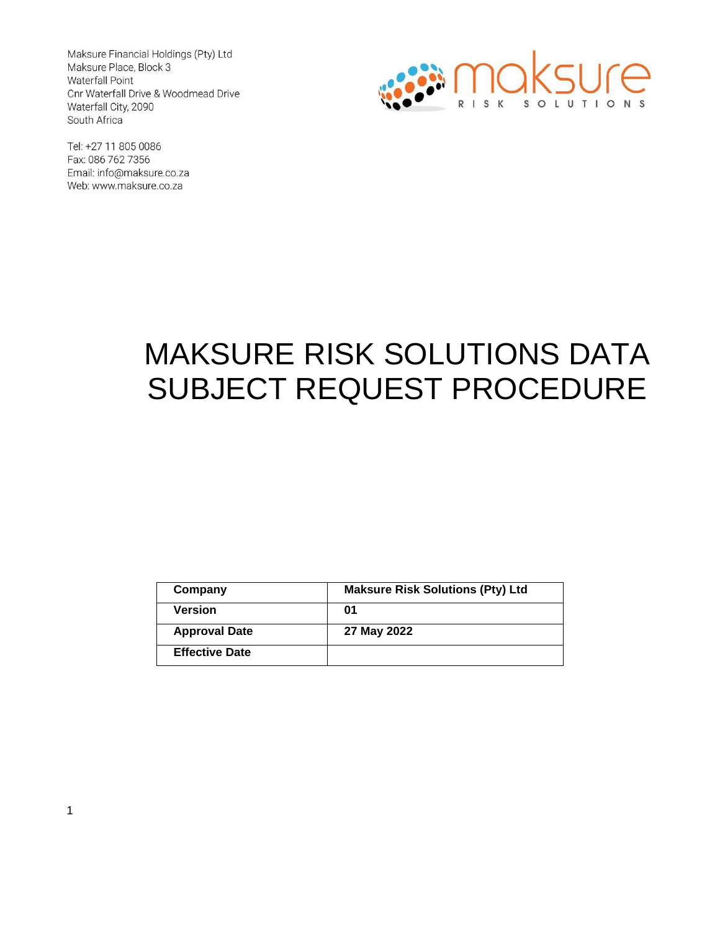Maksure Financial Holdings (Pty) Ltd Maksure Place, Block 3 Waterfall Point Cnr Waterfall Drive & Woodmead Drive Waterfall City, 2090 South Africa



Tel: +27 11 805 0086 Fax: 086 762 7356 Email: info@maksure.co.za Web: www.maksure.co.za

# MAKSURE RISK SOLUTIONS DATA SUBJECT REQUEST PROCEDURE

| Company               | <b>Maksure Risk Solutions (Pty) Ltd</b> |
|-----------------------|-----------------------------------------|
| <b>Version</b>        | 01                                      |
| <b>Approval Date</b>  | 27 May 2022                             |
| <b>Effective Date</b> |                                         |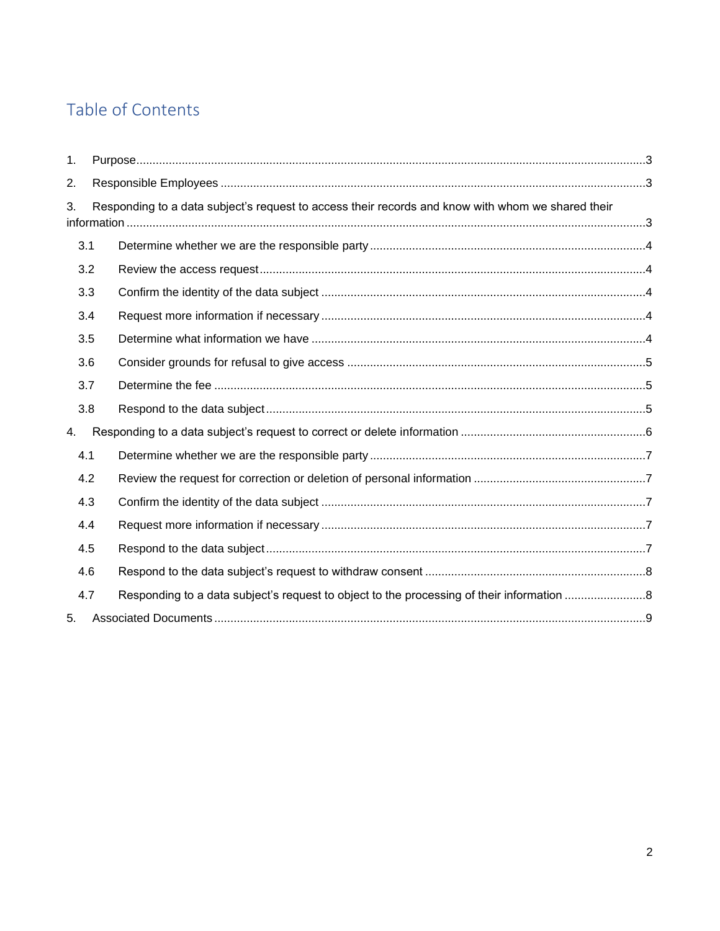### Table of Contents

| $\mathbf{1}$ . |                                                                                                   |  |  |
|----------------|---------------------------------------------------------------------------------------------------|--|--|
| 2.             |                                                                                                   |  |  |
| 3.             | Responding to a data subject's request to access their records and know with whom we shared their |  |  |
|                | 3.1                                                                                               |  |  |
|                | 3.2                                                                                               |  |  |
|                | 3.3                                                                                               |  |  |
|                | 3.4                                                                                               |  |  |
|                | 3.5                                                                                               |  |  |
|                | 3.6                                                                                               |  |  |
|                | 3.7                                                                                               |  |  |
|                | 3.8                                                                                               |  |  |
| 4.             |                                                                                                   |  |  |
|                | 4.1                                                                                               |  |  |
|                | 4.2                                                                                               |  |  |
|                | 4.3                                                                                               |  |  |
|                | 4.4                                                                                               |  |  |
|                | 4.5                                                                                               |  |  |
|                | 4.6                                                                                               |  |  |
|                | 4.7                                                                                               |  |  |
| 5.             |                                                                                                   |  |  |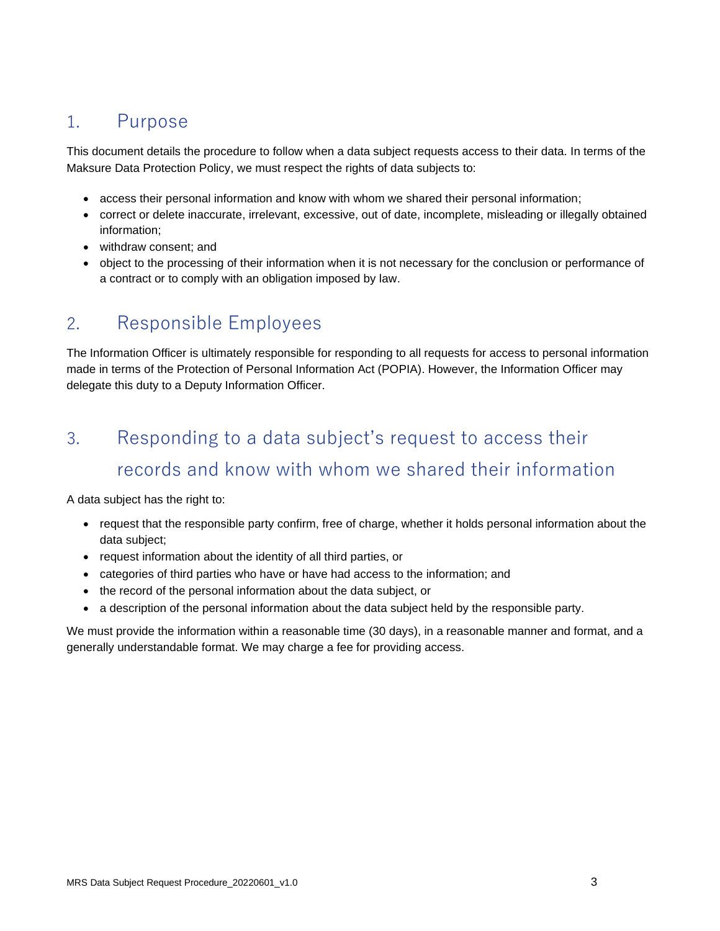### <span id="page-2-0"></span>1. Purpose

This document details the procedure to follow when a data subject requests access to their data. In terms of the Maksure Data Protection Policy, we must respect the rights of data subjects to:

- [access their personal information and know with whom we shared their personal information;](#page-2-2)
- [correct or delete inaccurate, irrelevant, excessive, out of date, incomplete, misleading or illegally obtained](#page-5-0)  [information;](#page-5-0)
- [withdraw consent;](#page-7-0) and
- [object to the processing of their information when it is not necessary for the conclusion or performance of](#page-7-1)  [a contract or to comply with an obligation imposed by law.](#page-7-1)

#### <span id="page-2-1"></span>2. Responsible Employees

The Information Officer is ultimately responsible for responding to all requests for access to personal information made in terms of the Protection of Personal Information Act (POPIA). However, the Information Officer may delegate this duty to a Deputy Information Officer.

# <span id="page-2-2"></span>3. Responding to a data subject's request to access their records and know with whom we shared their information

A data subject has the right to:

- request that the responsible party confirm, free of charge, whether it holds personal information about the data subject;
- request information about the identity of all third parties, or
- categories of third parties who have or have had access to the information; and
- the record of the personal information about the data subject, or
- a description of the personal information about the data subject held by the responsible party.

We must provide the information within a reasonable time (30 days), in a reasonable manner and format, and a generally understandable format. We may charge a fee for providing access.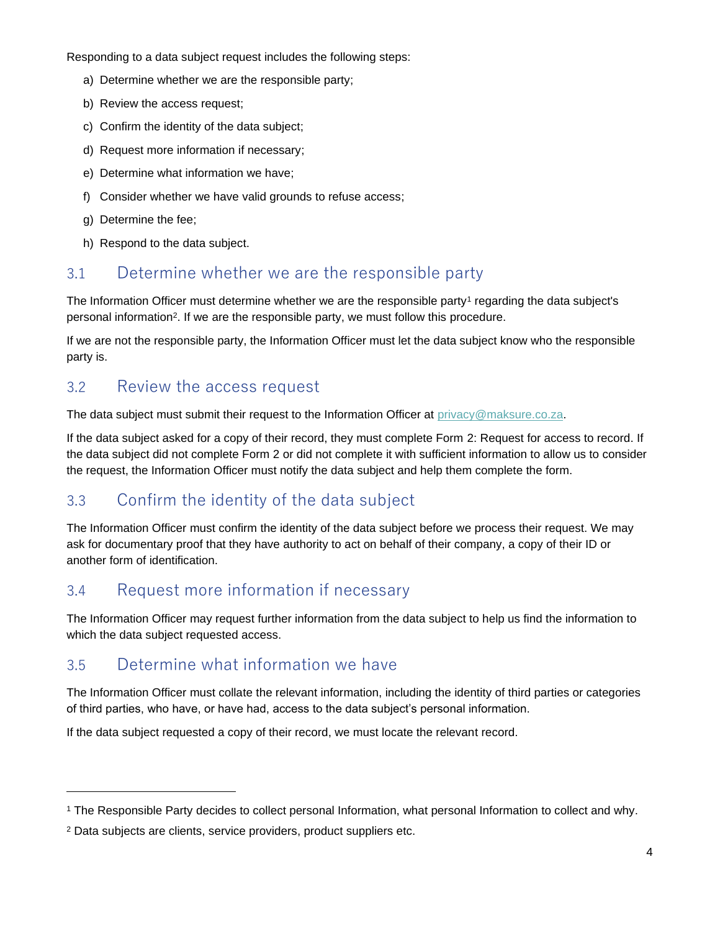Responding to a data subject request includes the following steps:

- a) Determine whether we are the responsible party;
- b) Review the access request;
- c) Confirm the identity of the data subject;
- d) Request more information if necessary;
- e) Determine what information we have;
- f) Consider whether we have valid grounds to refuse access;
- g) Determine the fee;
- h) Respond to the data subject.

#### <span id="page-3-0"></span>3.1 Determine whether we are the responsible party

The Information Officer must determine whether we are the responsible party<sup>1</sup> regarding the data subject's personal information<sup>2</sup> . If we are the responsible party, we must follow this procedure.

If we are not the responsible party, the Information Officer must let the data subject know who the responsible party is.

#### <span id="page-3-1"></span>3.2 Review the access request

The data subject must submit their request to the Information Officer at [privacy@maksure.co.za.](mailto:privacy@maksure.co.za)

If the data subject asked for a copy of their record, they must complete Form 2: Request for access to record. If the data subject did not complete Form 2 or did not complete it with sufficient information to allow us to consider the request, the Information Officer must notify the data subject and help them complete the form.

#### <span id="page-3-2"></span>3.3 Confirm the identity of the data subject

The Information Officer must confirm the identity of the data subject before we process their request. We may ask for documentary proof that they have authority to act on behalf of their company, a copy of their ID or another form of identification.

#### <span id="page-3-3"></span>3.4 Request more information if necessary

The Information Officer may request further information from the data subject to help us find the information to which the data subject requested access.

#### <span id="page-3-4"></span>3.5 Determine what information we have

The Information Officer must collate the relevant information, including the identity of third parties or categories of third parties, who have, or have had, access to the data subject's personal information.

If the data subject requested a copy of their record, we must locate the relevant record.

<sup>1</sup> The Responsible Party decides to collect personal Information, what personal Information to collect and why.

<sup>&</sup>lt;sup>2</sup> Data subjects are clients, service providers, product suppliers etc.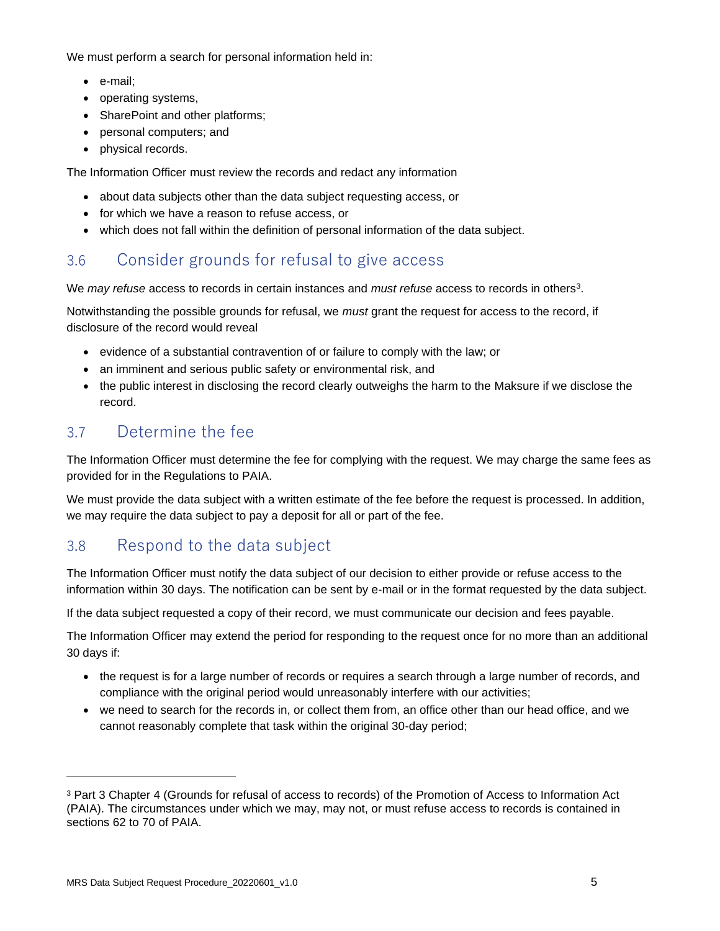We must perform a search for personal information held in:

- e-mail;
- operating systems,
- SharePoint and other platforms;
- personal computers; and
- physical records.

The Information Officer must review the records and redact any information

- about data subjects other than the data subject requesting access, or
- for which we have a reason to refuse access, or
- which does not fall within the definition of personal information of the data subject.

#### <span id="page-4-0"></span>3.6 Consider grounds for refusal to give access

We *may refuse* access to records in certain instances and *must refuse* access to records in others<sup>3</sup>.

Notwithstanding the possible grounds for refusal, we *must* grant the request for access to the record, if disclosure of the record would reveal

- evidence of a substantial contravention of or failure to comply with the law; or
- an imminent and serious public safety or environmental risk, and
- the public interest in disclosing the record clearly outweighs the harm to the Maksure if we disclose the record.

#### <span id="page-4-1"></span>3.7 Determine the fee

The Information Officer must determine the fee for complying with the request. We may charge the same fees as provided for in the Regulations to PAIA.

We must provide the data subject with a written estimate of the fee before the request is processed. In addition, we may require the data subject to pay a deposit for all or part of the fee.

#### <span id="page-4-2"></span>3.8 Respond to the data subject

The Information Officer must notify the data subject of our decision to either provide or refuse access to the information within 30 days. The notification can be sent by e-mail or in the format requested by the data subject.

If the data subject requested a copy of their record, we must communicate our decision and fees payable.

The Information Officer may extend the period for responding to the request once for no more than an additional 30 days if:

- the request is for a large number of records or requires a search through a large number of records, and compliance with the original period would unreasonably interfere with our activities;
- we need to search for the records in, or collect them from, an office other than our head office, and we cannot reasonably complete that task within the original 30-day period;

<sup>3</sup> Part 3 Chapter 4 (Grounds for refusal of access to records) of the Promotion of Access to Information Act (PAIA). The circumstances under which we may, may not, or must refuse access to records is contained in sections 62 to 70 of PAIA.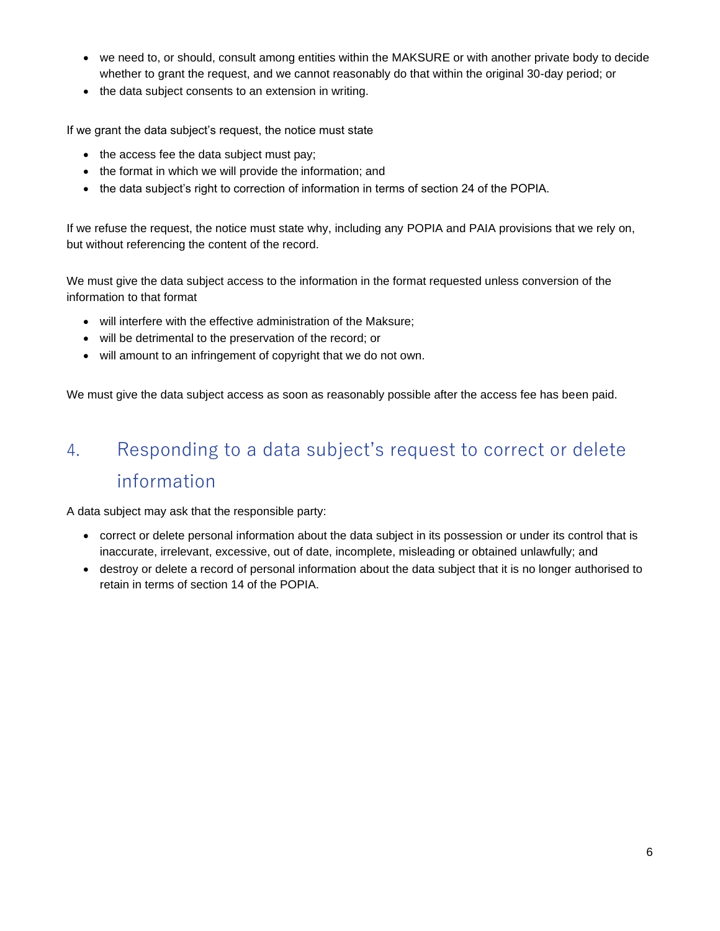- we need to, or should, consult among entities within the MAKSURE or with another private body to decide whether to grant the request, and we cannot reasonably do that within the original 30-day period; or
- the data subject consents to an extension in writing.

If we grant the data subject's request, the notice must state

- the access fee the data subject must pay;
- the format in which we will provide the information; and
- the data subject's right to correction of information in terms of section 24 of the POPIA.

If we refuse the request, the notice must state why, including any POPIA and PAIA provisions that we rely on, but without referencing the content of the record.

We must give the data subject access to the information in the format requested unless conversion of the information to that format

- will interfere with the effective administration of the Maksure;
- will be detrimental to the preservation of the record; or
- will amount to an infringement of copyright that we do not own.

We must give the data subject access as soon as reasonably possible after the access fee has been paid.

# <span id="page-5-0"></span>4. Responding to a data subject's request to correct or delete information

A data subject may ask that the responsible party:

- correct or delete personal information about the data subject in its possession or under its control that is inaccurate, irrelevant, excessive, out of date, incomplete, misleading or obtained unlawfully; and
- destroy or delete a record of personal information about the data subject that it is no longer authorised to retain in terms of section 14 of the POPIA.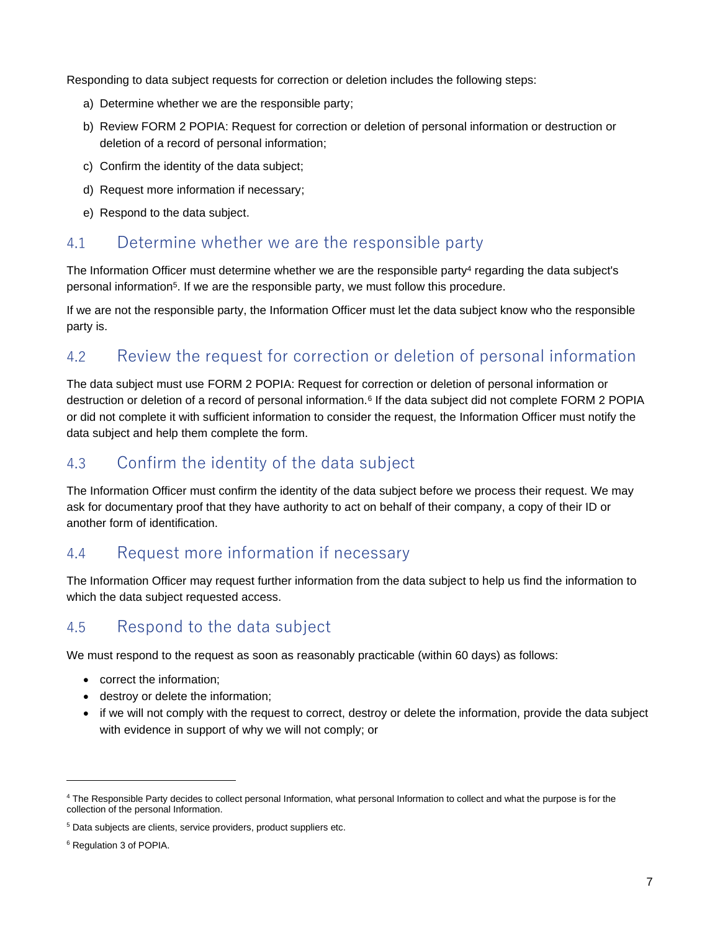Responding to data subject requests for correction or deletion includes the following steps:

- a) Determine whether we are the responsible party;
- b) Review FORM 2 POPIA: Request for correction or deletion of personal information or destruction or deletion of a record of personal information;
- c) Confirm the identity of the data subject;
- d) Request more information if necessary;
- e) Respond to the data subject.

#### <span id="page-6-0"></span>4.1 Determine whether we are the responsible party

The Information Officer must determine whether we are the responsible party<sup>4</sup> regarding the data subject's personal information<sup>5</sup> . If we are the responsible party, we must follow this procedure.

If we are not the responsible party, the Information Officer must let the data subject know who the responsible party is.

#### <span id="page-6-1"></span>4.2 Review the request for correction or deletion of personal information

The data subject must use FORM 2 POPIA: Request for correction or deletion of personal information or destruction or deletion of a record of personal information.<sup>6</sup> If the data subject did not complete FORM 2 POPIA or did not complete it with sufficient information to consider the request, the Information Officer must notify the data subject and help them complete the form.

#### <span id="page-6-2"></span>4.3 Confirm the identity of the data subject

The Information Officer must confirm the identity of the data subject before we process their request. We may ask for documentary proof that they have authority to act on behalf of their company, a copy of their ID or another form of identification.

#### <span id="page-6-3"></span>4.4 Request more information if necessary

The Information Officer may request further information from the data subject to help us find the information to which the data subject requested access.

#### <span id="page-6-4"></span>4.5 Respond to the data subject

We must respond to the request as soon as reasonably practicable (within 60 days) as follows:

- correct the information;
- destroy or delete the information;
- if we will not comply with the request to correct, destroy or delete the information, provide the data subject with evidence in support of why we will not comply; or

<sup>4</sup> The Responsible Party decides to collect personal Information, what personal Information to collect and what the purpose is for the collection of the personal Information.

<sup>&</sup>lt;sup>5</sup> Data subjects are clients, service providers, product suppliers etc.

<sup>6</sup> Regulation 3 of POPIA.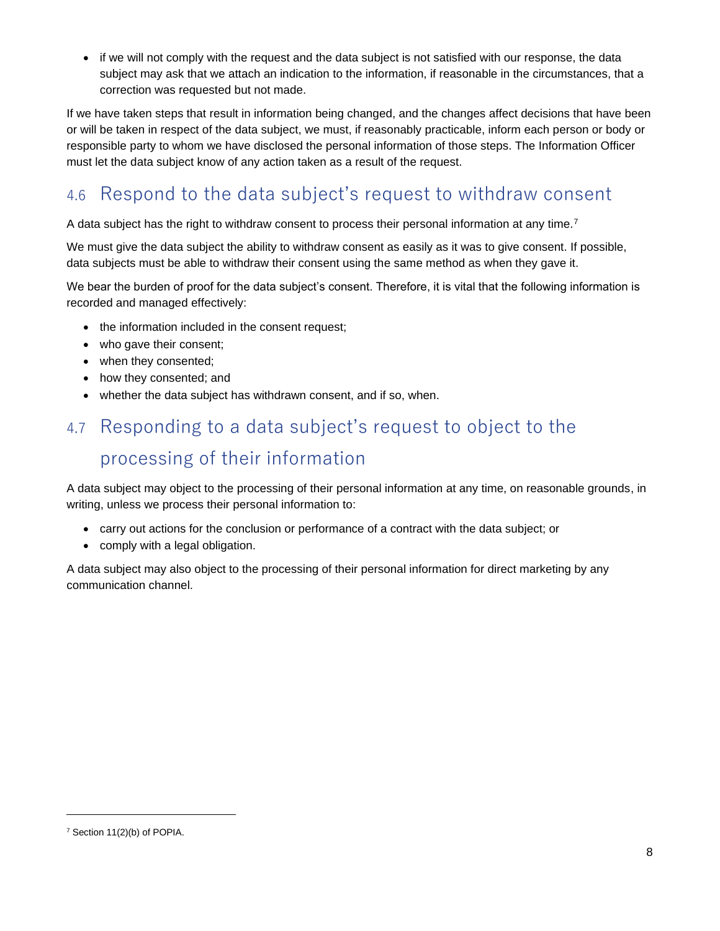• if we will not comply with the request and the data subject is not satisfied with our response, the data subject may ask that we attach an indication to the information, if reasonable in the circumstances, that a correction was requested but not made.

If we have taken steps that result in information being changed, and the changes affect decisions that have been or will be taken in respect of the data subject, we must, if reasonably practicable, inform each person or body or responsible party to whom we have disclosed the personal information of those steps. The Information Officer must let the data subject know of any action taken as a result of the request.

## <span id="page-7-0"></span>4.6 Respond to the data subject's request to withdraw consent

A data subject has the right to withdraw consent to process their personal information at any time.<sup>7</sup>

We must give the data subject the ability to withdraw consent as easily as it was to give consent. If possible, data subjects must be able to withdraw their consent using the same method as when they gave it.

We bear the burden of proof for the data subject's consent. Therefore, it is vital that the following information is recorded and managed effectively:

- the information included in the consent request;
- who gave their consent;
- when they consented;
- how they consented; and
- whether the data subject has withdrawn consent, and if so, when.

# <span id="page-7-1"></span>4.7 Responding to a data subject's request to object to the processing of their information

A data subject may object to the processing of their personal information at any time, on reasonable grounds, in writing, unless we process their personal information to:

- carry out actions for the conclusion or performance of a contract with the data subject; or
- comply with a legal obligation.

A data subject may also object to the processing of their personal information for direct marketing by any communication channel.

<sup>7</sup> Section 11(2)(b) of POPIA.